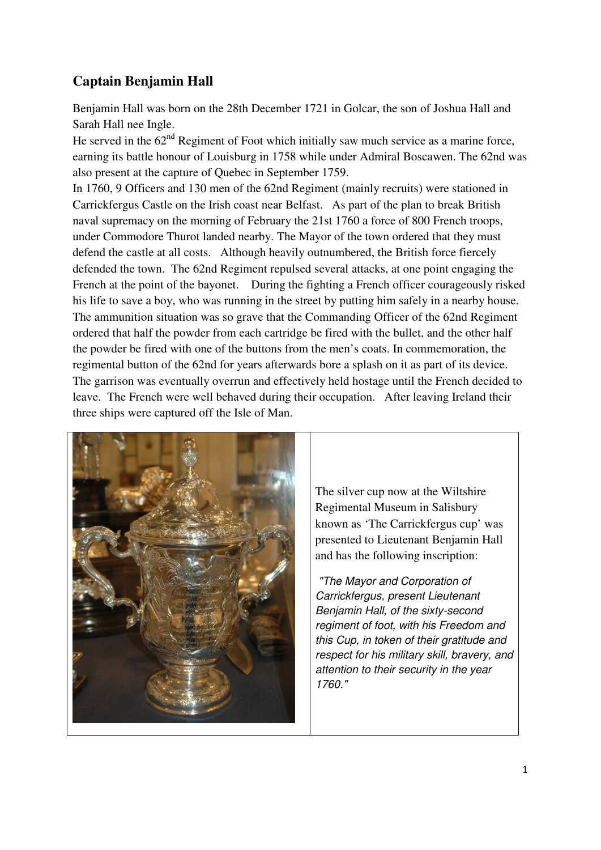## **Captain Benjamin Hall**

Benjamin Hall was born on the 28th December 1721 in Golcar, the son of Joshua Hall and Sarah Hall nee Ingle.

He served in the  $62<sup>nd</sup>$  Regiment of Foot which initially saw much service as a marine force, earning its battle honour of Louisburg in 1758 while under Admiral Boscawen. The 62nd was also present at the capture of Quebec in September 1759.

In 1760, 9 Officers and 130 men of the 62nd Regiment (mainly recruits) were stationed in Carrickfergus Castle on the Irish coast near Belfast. As part of the plan to break British naval supremacy on the morning of February the 21st 1760 a force of 800 French troops, under Commodore Thurot landed nearby. The Mayor of the town ordered that they must defend the castle at all costs. Although heavily outnumbered, the British force fiercely defended the town. The 62nd Regiment repulsed several attacks, at one point engaging the French at the point of the bayonet. During the fighting a French officer courageously risked his life to save a boy, who was running in the street by putting him safely in a nearby house. The ammunition situation was so grave that the Commanding Officer of the 62nd Regiment ordered that half the powder from each cartridge be fired with the bullet, and the other half the powder be fired with one of the buttons from the men's coats. In commemoration, the regimental button of the 62nd for years afterwards bore a splash on it as part of its device. The garrison was eventually overrun and effectively held hostage until the French decided to leave. The French were well behaved during their occupation. After leaving Ireland their three ships were captured off the Isle of Man.



The silver cup now at the Wiltshire Regimental Museum in Salisbury known as 'The Carrickfergus cup' was presented to Lieutenant Benjamin Hall and has the following inscription:

 "The Mayor and Corporation of Carrickfergus, present Lieutenant Benjamin Hall, of the sixty-second regiment of foot, with his Freedom and this Cup, in token of their gratitude and respect for his military skill, bravery, and attention to their security in the year 1760."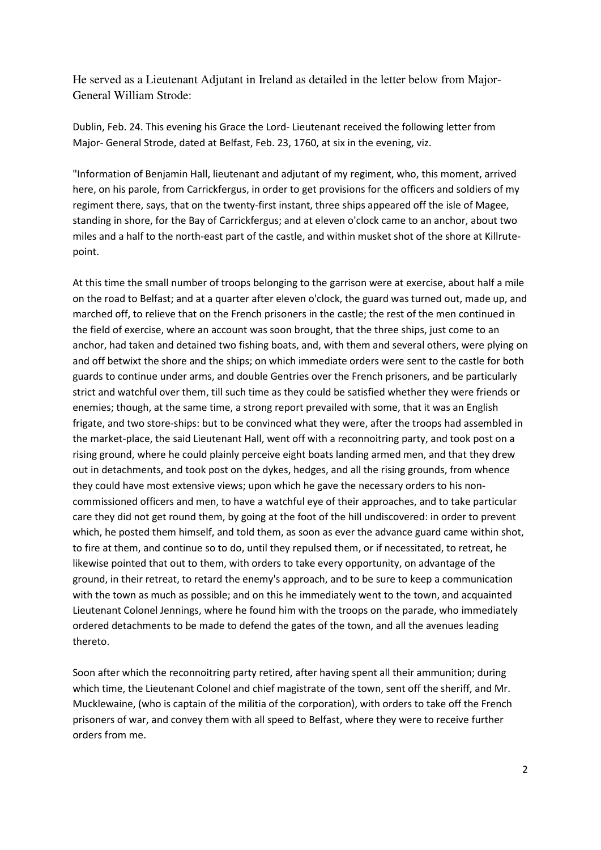He served as a Lieutenant Adjutant in Ireland as detailed in the letter below from Major-General William Strode:

Dublin, Feb. 24. This evening his Grace the Lord- Lieutenant received the following letter from Major- General Strode, dated at Belfast, Feb. 23, 1760, at six in the evening, viz.

"Information of Benjamin Hall, lieutenant and adjutant of my regiment, who, this moment, arrived here, on his parole, from Carrickfergus, in order to get provisions for the officers and soldiers of my regiment there, says, that on the twenty-first instant, three ships appeared off the isle of Magee, standing in shore, for the Bay of Carrickfergus; and at eleven o'clock came to an anchor, about two miles and a half to the north-east part of the castle, and within musket shot of the shore at Killrutepoint.

At this time the small number of troops belonging to the garrison were at exercise, about half a mile on the road to Belfast; and at a quarter after eleven o'clock, the guard was turned out, made up, and marched off, to relieve that on the French prisoners in the castle; the rest of the men continued in the field of exercise, where an account was soon brought, that the three ships, just come to an anchor, had taken and detained two fishing boats, and, with them and several others, were plying on and off betwixt the shore and the ships; on which immediate orders were sent to the castle for both guards to continue under arms, and double Gentries over the French prisoners, and be particularly strict and watchful over them, till such time as they could be satisfied whether they were friends or enemies; though, at the same time, a strong report prevailed with some, that it was an English frigate, and two store-ships: but to be convinced what they were, after the troops had assembled in the market-place, the said Lieutenant Hall, went off with a reconnoitring party, and took post on a rising ground, where he could plainly perceive eight boats landing armed men, and that they drew out in detachments, and took post on the dykes, hedges, and all the rising grounds, from whence they could have most extensive views; upon which he gave the necessary orders to his noncommissioned officers and men, to have a watchful eye of their approaches, and to take particular care they did not get round them, by going at the foot of the hill undiscovered: in order to prevent which, he posted them himself, and told them, as soon as ever the advance guard came within shot, to fire at them, and continue so to do, until they repulsed them, or if necessitated, to retreat, he likewise pointed that out to them, with orders to take every opportunity, on advantage of the ground, in their retreat, to retard the enemy's approach, and to be sure to keep a communication with the town as much as possible; and on this he immediately went to the town, and acquainted Lieutenant Colonel Jennings, where he found him with the troops on the parade, who immediately ordered detachments to be made to defend the gates of the town, and all the avenues leading thereto.

Soon after which the reconnoitring party retired, after having spent all their ammunition; during which time, the Lieutenant Colonel and chief magistrate of the town, sent off the sheriff, and Mr. Mucklewaine, (who is captain of the militia of the corporation), with orders to take off the French prisoners of war, and convey them with all speed to Belfast, where they were to receive further orders from me.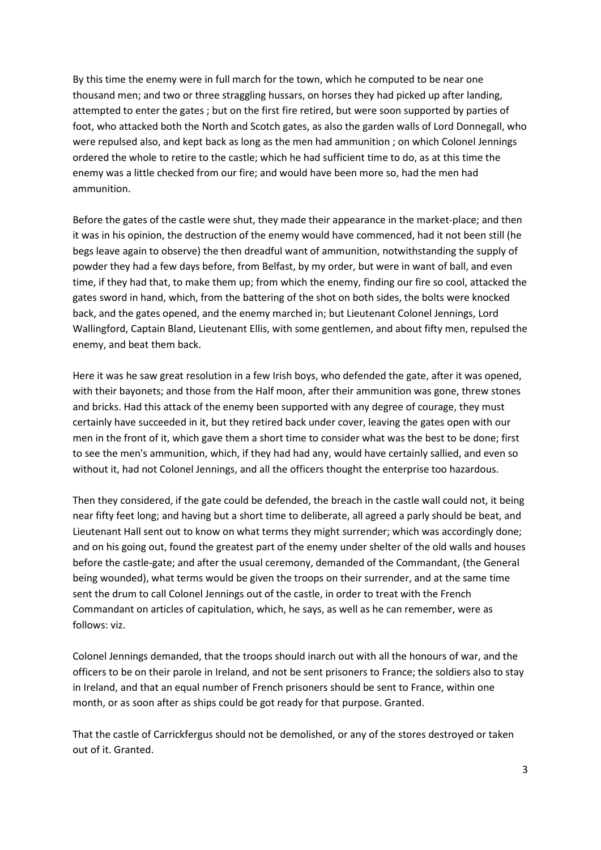By this time the enemy were in full march for the town, which he computed to be near one thousand men; and two or three straggling hussars, on horses they had picked up after landing, attempted to enter the gates ; but on the first fire retired, but were soon supported by parties of foot, who attacked both the North and Scotch gates, as also the garden walls of Lord Donnegall, who were repulsed also, and kept back as long as the men had ammunition ; on which Colonel Jennings ordered the whole to retire to the castle; which he had sufficient time to do, as at this time the enemy was a little checked from our fire; and would have been more so, had the men had ammunition.

Before the gates of the castle were shut, they made their appearance in the market-place; and then it was in his opinion, the destruction of the enemy would have commenced, had it not been still (he begs leave again to observe) the then dreadful want of ammunition, notwithstanding the supply of powder they had a few days before, from Belfast, by my order, but were in want of ball, and even time, if they had that, to make them up; from which the enemy, finding our fire so cool, attacked the gates sword in hand, which, from the battering of the shot on both sides, the bolts were knocked back, and the gates opened, and the enemy marched in; but Lieutenant Colonel Jennings, Lord Wallingford, Captain Bland, Lieutenant Ellis, with some gentlemen, and about fifty men, repulsed the enemy, and beat them back.

Here it was he saw great resolution in a few Irish boys, who defended the gate, after it was opened, with their bayonets; and those from the Half moon, after their ammunition was gone, threw stones and bricks. Had this attack of the enemy been supported with any degree of courage, they must certainly have succeeded in it, but they retired back under cover, leaving the gates open with our men in the front of it, which gave them a short time to consider what was the best to be done; first to see the men's ammunition, which, if they had had any, would have certainly sallied, and even so without it, had not Colonel Jennings, and all the officers thought the enterprise too hazardous.

Then they considered, if the gate could be defended, the breach in the castle wall could not, it being near fifty feet long; and having but a short time to deliberate, all agreed a parly should be beat, and Lieutenant Hall sent out to know on what terms they might surrender; which was accordingly done; and on his going out, found the greatest part of the enemy under shelter of the old walls and houses before the castle-gate; and after the usual ceremony, demanded of the Commandant, (the General being wounded), what terms would be given the troops on their surrender, and at the same time sent the drum to call Colonel Jennings out of the castle, in order to treat with the French Commandant on articles of capitulation, which, he says, as well as he can remember, were as follows: viz.

Colonel Jennings demanded, that the troops should inarch out with all the honours of war, and the officers to be on their parole in Ireland, and not be sent prisoners to France; the soldiers also to stay in Ireland, and that an equal number of French prisoners should be sent to France, within one month, or as soon after as ships could be got ready for that purpose. Granted.

That the castle of Carrickfergus should not be demolished, or any of the stores destroyed or taken out of it. Granted.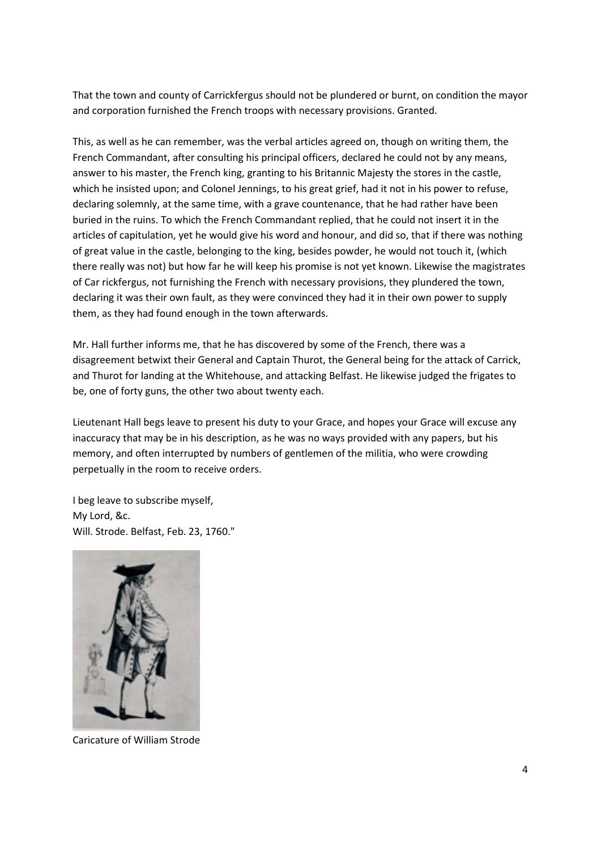That the town and county of Carrickfergus should not be plundered or burnt, on condition the mayor and corporation furnished the French troops with necessary provisions. Granted.

This, as well as he can remember, was the verbal articles agreed on, though on writing them, the French Commandant, after consulting his principal officers, declared he could not by any means, answer to his master, the French king, granting to his Britannic Majesty the stores in the castle, which he insisted upon; and Colonel Jennings, to his great grief, had it not in his power to refuse, declaring solemnly, at the same time, with a grave countenance, that he had rather have been buried in the ruins. To which the French Commandant replied, that he could not insert it in the articles of capitulation, yet he would give his word and honour, and did so, that if there was nothing of great value in the castle, belonging to the king, besides powder, he would not touch it, (which there really was not) but how far he will keep his promise is not yet known. Likewise the magistrates of Car rickfergus, not furnishing the French with necessary provisions, they plundered the town, declaring it was their own fault, as they were convinced they had it in their own power to supply them, as they had found enough in the town afterwards.

Mr. Hall further informs me, that he has discovered by some of the French, there was a disagreement betwixt their General and Captain Thurot, the General being for the attack of Carrick, and Thurot for landing at the Whitehouse, and attacking Belfast. He likewise judged the frigates to be, one of forty guns, the other two about twenty each.

Lieutenant Hall begs leave to present his duty to your Grace, and hopes your Grace will excuse any inaccuracy that may be in his description, as he was no ways provided with any papers, but his memory, and often interrupted by numbers of gentlemen of the militia, who were crowding perpetually in the room to receive orders.

I beg leave to subscribe myself, My Lord, &c. Will. Strode. Belfast, Feb. 23, 1760."



Caricature of William Strode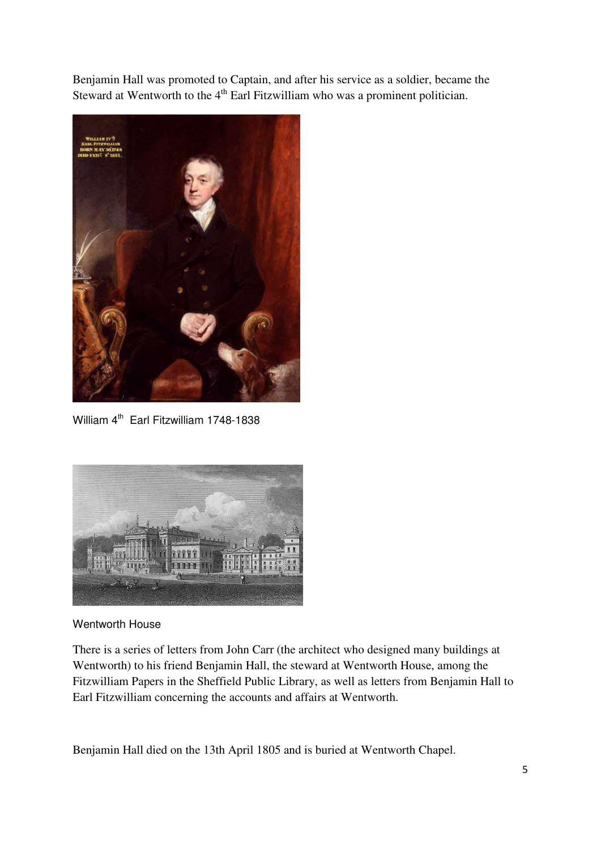Benjamin Hall was promoted to Captain, and after his service as a soldier, became the Steward at Wentworth to the 4<sup>th</sup> Earl Fitzwilliam who was a prominent politician.



William 4<sup>th</sup> Earl Fitzwilliam 1748-1838



## Wentworth House

There is a series of letters from John Carr (the architect who designed many buildings at Wentworth) to his friend Benjamin Hall, the steward at Wentworth House, among the Fitzwilliam Papers in the Sheffield Public Library, as well as letters from Benjamin Hall to Earl Fitzwilliam concerning the accounts and affairs at Wentworth.

Benjamin Hall died on the 13th April 1805 and is buried at Wentworth Chapel.